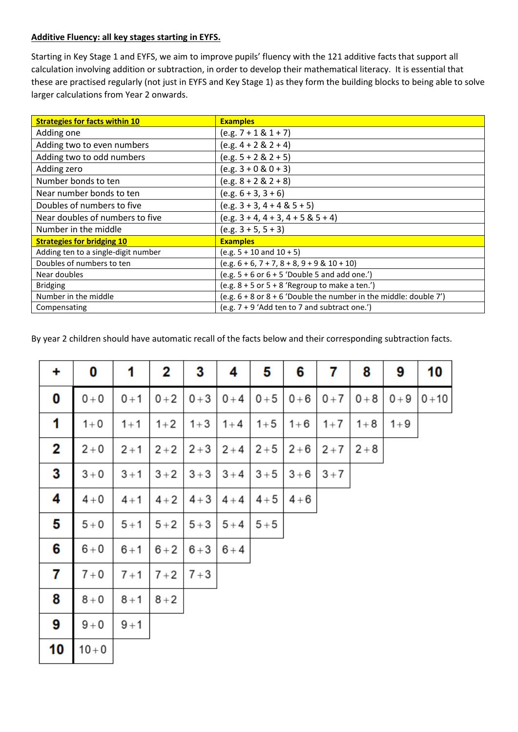## **Additive Fluency: all key stages starting in EYFS.**

Starting in Key Stage 1 and EYFS, we aim to improve pupils' fluency with the 121 additive facts that support all calculation involving addition or subtraction, in order to develop their mathematical literacy. It is essential that these are practised regularly (not just in EYFS and Key Stage 1) as they form the building blocks to being able to solve larger calculations from Year 2 onwards.

| <b>Strategies for facts within 10</b> | <b>Examples</b>                                                       |
|---------------------------------------|-----------------------------------------------------------------------|
| Adding one                            | $(e.g. 7 + 1 & 1 + 7)$                                                |
| Adding two to even numbers            | $(e.g. 4 + 2 & 2 + 4)$                                                |
| Adding two to odd numbers             | $(e.g. 5 + 2 & 2 + 5)$                                                |
| Adding zero                           | $(e.g. 3 + 0 & 0 + 3)$                                                |
| Number bonds to ten                   | $(e.g. 8 + 2 & 2 + 8)$                                                |
| Near number bonds to ten              | $(e.g. 6 + 3, 3 + 6)$                                                 |
| Doubles of numbers to five            | $(e.g. 3 + 3, 4 + 4 & 5 + 5)$                                         |
| Near doubles of numbers to five       | $(e.g. 3 + 4, 4 + 3, 4 + 5 & 5 + 4)$                                  |
| Number in the middle                  | $(e.g. 3 + 5, 5 + 3)$                                                 |
| <b>Strategies for bridging 10</b>     | <b>Examples</b>                                                       |
| Adding ten to a single-digit number   | $(e.g. 5 + 10 and 10 + 5)$                                            |
| Doubles of numbers to ten             | $(e.g. 6 + 6, 7 + 7, 8 + 8, 9 + 9 & 10 + 10)$                         |
| Near doubles                          | $(e.g. 5 + 6 or 6 + 5' Double 5 and add one')$                        |
| <b>Bridging</b>                       | (e.g. $8 + 5$ or $5 + 8$ 'Regroup to make a ten.')                    |
| Number in the middle                  | (e.g. $6 + 8$ or $8 + 6$ 'Double the number in the middle: double 7') |
| Compensating                          | (e.g. 7 + 9 'Add ten to 7 and subtract one.')                         |

By year 2 children should have automatic recall of the facts below and their corresponding subtraction facts.

| ٠  | 0        | 1       | 2       | 3       | 4       | 5       | 6       | 7       | 8       | 9       | 10       |
|----|----------|---------|---------|---------|---------|---------|---------|---------|---------|---------|----------|
| 0  | $0+0$    | $0 + 1$ | $0 + 2$ | $0 + 3$ | $0 + 4$ | $0 + 5$ | $0 + 6$ | $0 + 7$ | $0 + 8$ | $0 + 9$ | $0 + 10$ |
| 1  | $1 + 0$  | $1 + 1$ | $1 + 2$ | $1 + 3$ | $1 + 4$ | $1 + 5$ | $1 + 6$ | $1 + 7$ | $1 + 8$ | $1 + 9$ |          |
| 2  | $2 + 0$  | $2 + 1$ | $2 + 2$ | $2 + 3$ | $2 + 4$ | $2 + 5$ | $2 + 6$ | $2 + 7$ | $2 + 8$ |         |          |
| 3  | $3+0$    | $3 + 1$ | $3 + 2$ | $3 + 3$ | $3 + 4$ | $3 + 5$ | $3 + 6$ | $3 + 7$ |         |         |          |
| 4  | $4+0$    | $4 + 1$ | $4 + 2$ | $4 + 3$ | $4 + 4$ | $4 + 5$ | $4 + 6$ |         |         |         |          |
| 5  | $5+0$    | $5 + 1$ | $5 + 2$ | $5 + 3$ | $5 + 4$ | $5 + 5$ |         |         |         |         |          |
| 6  | $6+0$    | $6 + 1$ | $6 + 2$ | $6 + 3$ | $6+4$   |         |         |         |         |         |          |
| 7  | $7 + 0$  | $7 + 1$ | $7 + 2$ | $7 + 3$ |         |         |         |         |         |         |          |
| 8  | $8+0$    | $8 + 1$ | $8 + 2$ |         |         |         |         |         |         |         |          |
| 9  | $9+0$    | $9 + 1$ |         |         |         |         |         |         |         |         |          |
| 10 | $10 + 0$ |         |         |         |         |         |         |         |         |         |          |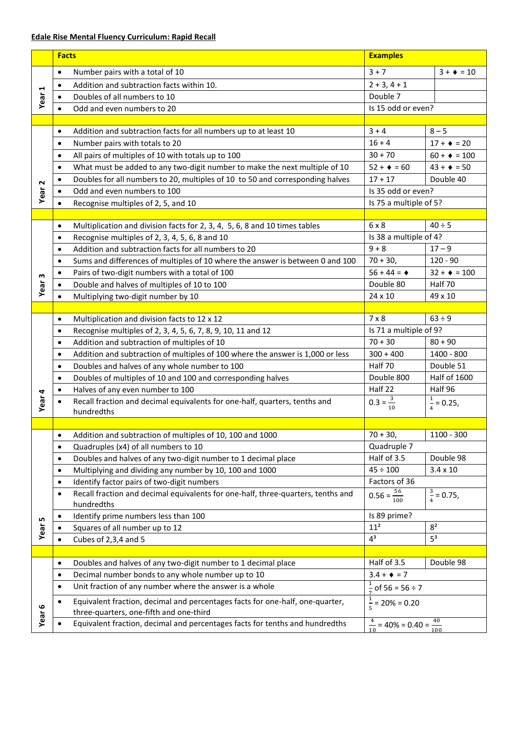## **Edale Rise Mental Fluency Curriculum: Rapid Recall**

|                   | <b>Facts</b> |                                                                                                                          | <b>Examples</b>                                |                       |  |
|-------------------|--------------|--------------------------------------------------------------------------------------------------------------------------|------------------------------------------------|-----------------------|--|
| Year <sub>1</sub> | $\bullet$    | Number pairs with a total of 10                                                                                          | $3 + 7$                                        | $3 + 10$              |  |
|                   | $\bullet$    | Addition and subtraction facts within 10.                                                                                | $2 + 3, 4 + 1$                                 |                       |  |
|                   |              | Doubles of all numbers to 10                                                                                             | Double 7                                       |                       |  |
|                   | $\bullet$    | Odd and even numbers to 20                                                                                               | Is 15 odd or even?                             |                       |  |
|                   |              |                                                                                                                          |                                                |                       |  |
|                   | $\bullet$    | Addition and subtraction facts for all numbers up to at least 10                                                         | $3 + 4$                                        | $8 - 5$               |  |
|                   | $\bullet$    | Number pairs with totals to 20                                                                                           | $16 + 4$                                       | $17 + 120$            |  |
|                   | $\bullet$    | All pairs of multiples of 10 with totals up to 100                                                                       | $30 + 70$                                      | $60 + 100$            |  |
|                   | $\bullet$    | What must be added to any two-digit number to make the next multiple of 10                                               | $52 + 4 = 60$                                  | $43 + 10 = 50$        |  |
|                   | $\bullet$    | Doubles for all numbers to 20, multiples of 10 to 50 and corresponding halves                                            | $17 + 17$                                      | Double 40             |  |
| Year <sub>2</sub> | ٠            | Odd and even numbers to 100                                                                                              | Is 35 odd or even?                             |                       |  |
|                   | ٠            | Recognise multiples of 2, 5, and 10                                                                                      | Is 75 a multiple of 5?                         |                       |  |
|                   |              |                                                                                                                          |                                                |                       |  |
|                   | $\bullet$    | Multiplication and division facts for 2, 3, 4, 5, 6, 8 and 10 times tables                                               | 6 x 8                                          | $40 \div 5$           |  |
|                   | $\bullet$    | Recognise multiples of 2, 3, 4, 5, 6, 8 and 10                                                                           | Is 38 a multiple of 4?                         |                       |  |
|                   | $\bullet$    | Addition and subtraction facts for all numbers to 20                                                                     | $9 + 8$                                        | $17 - 9$              |  |
|                   | $\bullet$    | Sums and differences of multiples of 10 where the answer is between 0 and 100                                            | $70 + 30,$                                     | $120 - 90$            |  |
|                   | $\bullet$    | Pairs of two-digit numbers with a total of 100                                                                           | $56 + 44 = 4$                                  | $32 + 4 = 100$        |  |
| Year <sub>3</sub> |              | Double and halves of multiples of 10 to 100                                                                              | Double 80                                      | Half 70               |  |
|                   |              | Multiplying two-digit number by 10                                                                                       | 24 x 10                                        | 49 x 10               |  |
|                   |              |                                                                                                                          |                                                |                       |  |
|                   | $\bullet$    | Multiplication and division facts to 12 x 12                                                                             | $7 \times 8$                                   | $63 \div 9$           |  |
|                   | $\bullet$    | Recognise multiples of 2, 3, 4, 5, 6, 7, 8, 9, 10, 11 and 12                                                             | Is 71 a multiple of 9?                         |                       |  |
|                   | $\bullet$    | Addition and subtraction of multiples of 10                                                                              | $70 + 30$                                      | $80 + 90$             |  |
|                   | $\bullet$    | Addition and subtraction of multiples of 100 where the answer is 1,000 or less                                           | $300 + 400$                                    | 1400 - 800            |  |
|                   | $\bullet$    | Doubles and halves of any whole number to 100                                                                            | Half 70                                        | Double 51             |  |
|                   | $\bullet$    | Doubles of multiples of 10 and 100 and corresponding halves                                                              | Double 800                                     | <b>Half of 1600</b>   |  |
|                   |              | Halves of any even number to 100                                                                                         | Half 22                                        | Half 96               |  |
| Year <sub>4</sub> |              | Recall fraction and decimal equivalents for one-half, quarters, tenths and<br>hundredths                                 | $0.3 = \frac{3}{10}$<br>10                     | $\frac{1}{4}$ = 0.25, |  |
|                   |              |                                                                                                                          |                                                |                       |  |
|                   |              | • Addition and subtraction of multiples of 10, 100 and 1000                                                              | $70 + 30,$                                     | $1100 - 300$          |  |
|                   | $\bullet$    | Quadruples (x4) of all numbers to 10                                                                                     | Quadruple 7                                    |                       |  |
|                   | $\bullet$    | Doubles and halves of any two-digit number to 1 decimal place                                                            | Half of 3.5                                    | Double 98             |  |
|                   | $\bullet$    | Multiplying and dividing any number by 10, 100 and 1000                                                                  | $45 \div 100$                                  | $3.4 \times 10$       |  |
|                   | $\bullet$    | Identify factor pairs of two-digit numbers                                                                               | Factors of 36                                  |                       |  |
|                   | $\bullet$    | Recall fraction and decimal equivalents for one-half, three-quarters, tenths and<br>hundredths                           | $0.56 = \frac{56}{100}$                        | $\frac{3}{4}$ = 0.75, |  |
|                   | ٠            | Identify prime numbers less than 100                                                                                     | Is 89 prime?                                   |                       |  |
| Year 5            |              | Squares of all number up to 12                                                                                           | 11 <sup>2</sup>                                | 8 <sup>2</sup>        |  |
|                   | $\bullet$    | Cubes of 2,3,4 and 5                                                                                                     | $4^3$                                          | $5^3$                 |  |
|                   |              |                                                                                                                          |                                                |                       |  |
|                   | $\bullet$    | Doubles and halves of any two-digit number to 1 decimal place                                                            | Half of 3.5                                    | Double 98             |  |
|                   | $\bullet$    | Decimal number bonds to any whole number up to 10                                                                        | $3.4 + 1 = 7$                                  |                       |  |
|                   | $\bullet$    | Unit fraction of any number where the answer is a whole                                                                  | $\frac{1}{7}$ of 56 = 56 ÷ 7                   |                       |  |
|                   |              | Equivalent fraction, decimal and percentages facts for one-half, one-quarter,<br>three-quarters, one-fifth and one-third | $\frac{1}{5}$ = 20% = 0.20                     |                       |  |
| Year <sub>6</sub> |              | Equivalent fraction, decimal and percentages facts for tenths and hundredths                                             | $\frac{4}{10}$ = 40% = 0.40 = $\frac{40}{100}$ |                       |  |
|                   |              |                                                                                                                          |                                                |                       |  |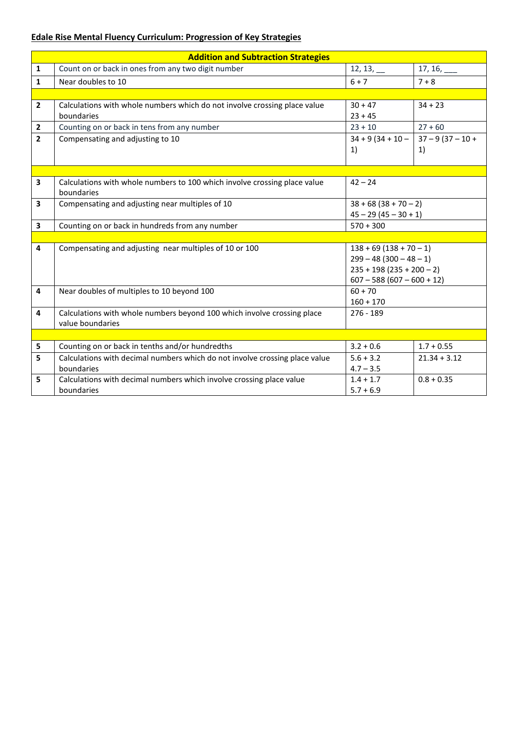## **Edale Rise Mental Fluency Curriculum: Progression of Key Strategies**

|                | <b>Addition and Subtraction Strategies</b>                                                  |                                                                                                                    |                          |  |  |  |  |
|----------------|---------------------------------------------------------------------------------------------|--------------------------------------------------------------------------------------------------------------------|--------------------------|--|--|--|--|
| $\mathbf{1}$   | Count on or back in ones from any two digit number                                          | $12, 13, \_$                                                                                                       | $17, 16, \_\_$           |  |  |  |  |
| $\mathbf{1}$   | Near doubles to 10                                                                          | $6 + 7$                                                                                                            | $7 + 8$                  |  |  |  |  |
|                |                                                                                             |                                                                                                                    |                          |  |  |  |  |
| $\overline{2}$ | Calculations with whole numbers which do not involve crossing place value<br>boundaries     | $30 + 47$<br>$23 + 45$                                                                                             | $34 + 23$                |  |  |  |  |
| $\overline{2}$ | Counting on or back in tens from any number                                                 | $23 + 10$                                                                                                          | $27 + 60$                |  |  |  |  |
| $\overline{2}$ | Compensating and adjusting to 10                                                            | $34 + 9(34 + 10 -$<br>1)                                                                                           | $37 - 9(37 - 10 +$<br>1) |  |  |  |  |
|                |                                                                                             |                                                                                                                    |                          |  |  |  |  |
| 3              | Calculations with whole numbers to 100 which involve crossing place value<br>boundaries     | $42 - 24$                                                                                                          |                          |  |  |  |  |
| 3              | Compensating and adjusting near multiples of 10                                             | $38 + 68 (38 + 70 - 2)$                                                                                            |                          |  |  |  |  |
|                |                                                                                             | $45 - 29(45 - 30 + 1)$                                                                                             |                          |  |  |  |  |
| 3              | Counting on or back in hundreds from any number                                             | $570 + 300$                                                                                                        |                          |  |  |  |  |
|                |                                                                                             |                                                                                                                    |                          |  |  |  |  |
| 4              | Compensating and adjusting near multiples of 10 or 100                                      | $138 + 69(138 + 70 - 1)$<br>$299 - 48(300 - 48 - 1)$<br>$235 + 198 (235 + 200 - 2)$<br>$607 - 588(607 - 600 + 12)$ |                          |  |  |  |  |
| 4              | Near doubles of multiples to 10 beyond 100                                                  | $60 + 70$<br>$160 + 170$                                                                                           |                          |  |  |  |  |
| 4              | Calculations with whole numbers beyond 100 which involve crossing place<br>value boundaries | $276 - 189$                                                                                                        |                          |  |  |  |  |
|                |                                                                                             |                                                                                                                    |                          |  |  |  |  |
| 5              | Counting on or back in tenths and/or hundredths                                             | $3.2 + 0.6$                                                                                                        | $1.7 + 0.55$             |  |  |  |  |
| 5              | Calculations with decimal numbers which do not involve crossing place value<br>boundaries   | $5.6 + 3.2$<br>$4.7 - 3.5$                                                                                         | $21.34 + 3.12$           |  |  |  |  |
| 5              | Calculations with decimal numbers which involve crossing place value<br>boundaries          | $1.4 + 1.7$<br>$5.7 + 6.9$                                                                                         | $0.8 + 0.35$             |  |  |  |  |